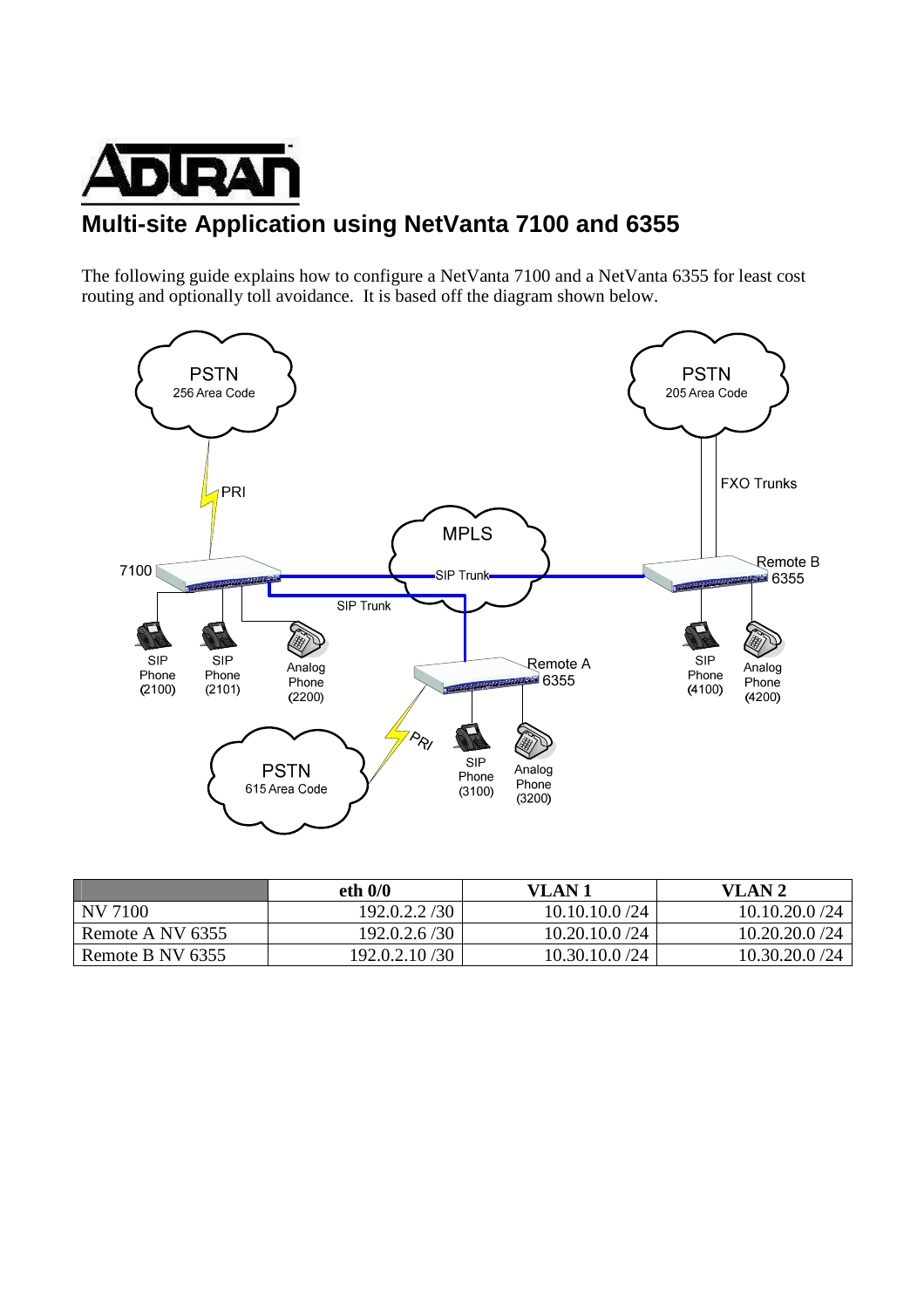

# **Multi-site Application using NetVanta 7100 and 6355**

The following guide explains how to configure a NetVanta 7100 and a NetVanta 6355 for least cost routing and optionally toll avoidance. It is based off the diagram shown below.



|                  | eth $0/0$     | VLAN 1          | VLAN 2          |
|------------------|---------------|-----------------|-----------------|
| NV 7100          | 192.0.2.2/30  | 10.10.10.0 / 24 | 10.10.20.0 / 24 |
| Remote A NV 6355 | 192.0.2.6/30  | 10.20.10.0 /24  | 10.20.20.0/24   |
| Remote B NV 6355 | 192.0.2.10/30 | 10.30.10.0 /24  | 10.30.20.0 /24  |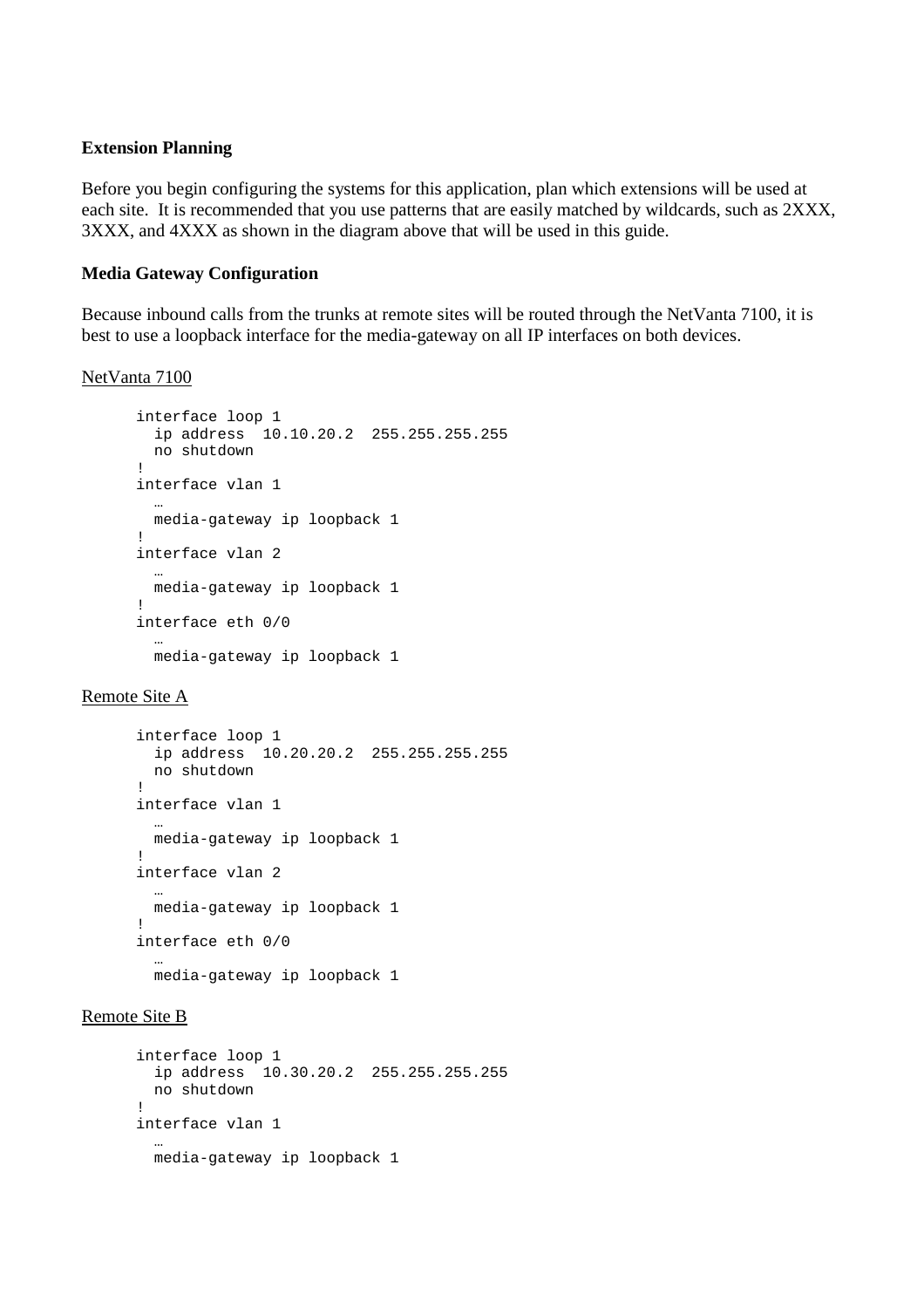#### **Extension Planning**

Before you begin configuring the systems for this application, plan which extensions will be used at each site. It is recommended that you use patterns that are easily matched by wildcards, such as 2XXX, 3XXX, and 4XXX as shown in the diagram above that will be used in this guide.

## **Media Gateway Configuration**

Because inbound calls from the trunks at remote sites will be routed through the NetVanta 7100, it is best to use a loopback interface for the media-gateway on all IP interfaces on both devices.

#### NetVanta 7100

```
interface loop 1 
  ip address 10.10.20.2 255.255.255.255 
  no shutdown 
! 
interface vlan 1 
 … 
  media-gateway ip loopback 1 
! 
interface vlan 2 
 … 
  media-gateway ip loopback 1 
! 
interface eth 0/0 
 … 
  media-gateway ip loopback 1
```
## Remote Site A

```
interface loop 1 
  ip address 10.20.20.2 255.255.255.255 
  no shutdown 
! 
interface vlan 1 
 … 
  media-gateway ip loopback 1 
! 
interface vlan 2 
 … 
  media-gateway ip loopback 1 
! 
interface eth 0/0 
 … 
  media-gateway ip loopback 1
```
#### Remote Site B

```
interface loop 1 
  ip address 10.30.20.2 255.255.255.255 
  no shutdown 
! 
interface vlan 1 
 … 
  media-gateway ip loopback 1
```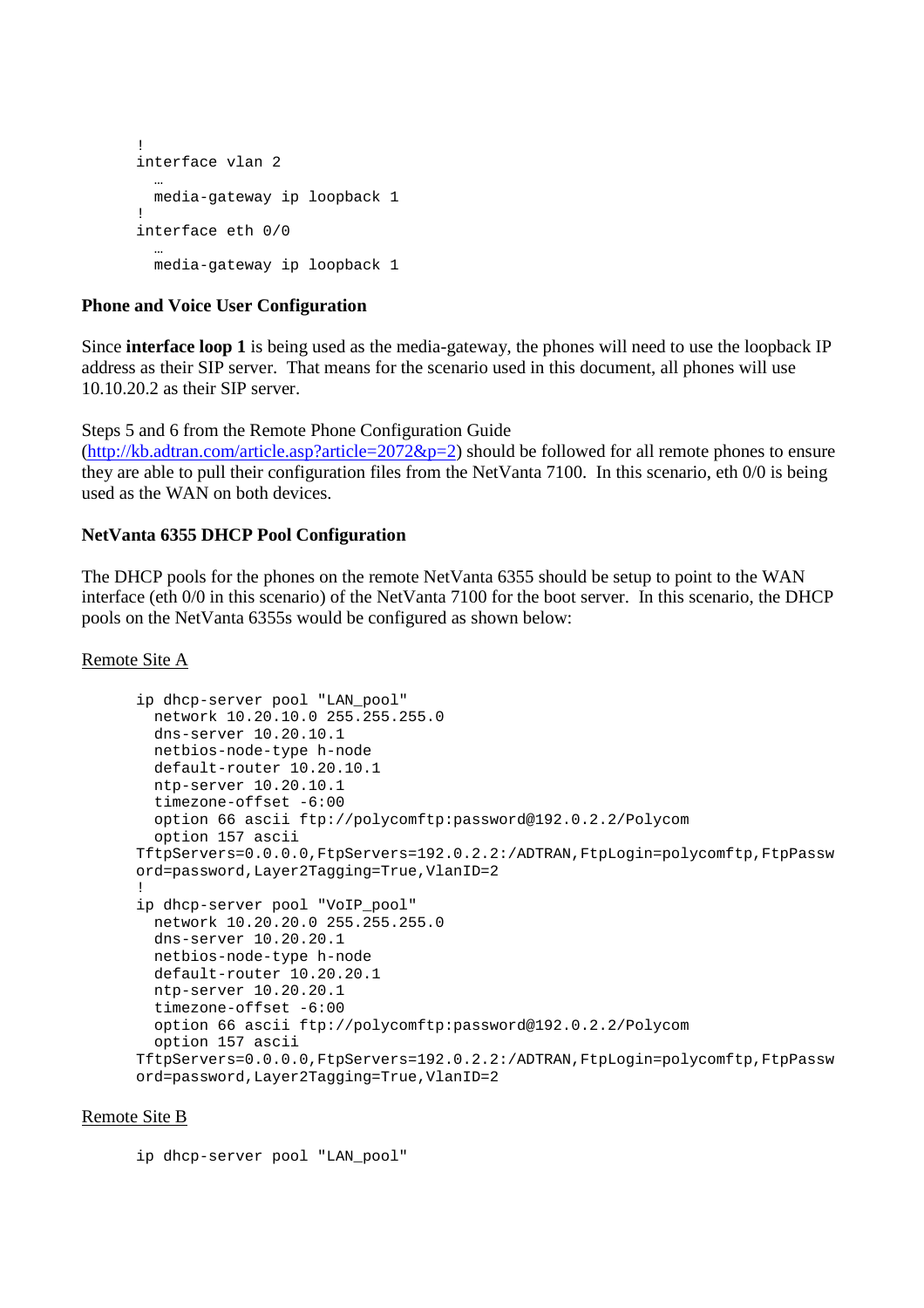```
! 
interface vlan 2 
 … 
   media-gateway ip loopback 1 
! 
interface eth 0/0 
   … 
   media-gateway ip loopback 1
```
# **Phone and Voice User Configuration**

Since **interface loop 1** is being used as the media-gateway, the phones will need to use the loopback IP address as their SIP server. That means for the scenario used in this document, all phones will use 10.10.20.2 as their SIP server.

Steps 5 and 6 from the Remote Phone Configuration Guide

 $(\text{http://kb.adtran.com/article-asp?article=2072&p=2})$  should be followed for all remote phones to ensure they are able to pull their configuration files from the NetVanta 7100. In this scenario, eth 0/0 is being used as the WAN on both devices.

# **NetVanta 6355 DHCP Pool Configuration**

The DHCP pools for the phones on the remote NetVanta 6355 should be setup to point to the WAN interface (eth 0/0 in this scenario) of the NetVanta 7100 for the boot server. In this scenario, the DHCP pools on the NetVanta 6355s would be configured as shown below:

## Remote Site A

```
ip dhcp-server pool "LAN_pool" 
  network 10.20.10.0 255.255.255.0 
  dns-server 10.20.10.1 
  netbios-node-type h-node 
  default-router 10.20.10.1 
  ntp-server 10.20.10.1 
   timezone-offset -6:00 
  option 66 ascii ftp://polycomftp:password@192.0.2.2/Polycom 
  option 157 ascii 
TftpServers=0.0.0.0,FtpServers=192.0.2.2:/ADTRAN,FtpLogin=polycomftp,FtpPassw
ord=password,Layer2Tagging=True,VlanID=2 
! 
ip dhcp-server pool "VoIP_pool" 
  network 10.20.20.0 255.255.255.0 
  dns-server 10.20.20.1 
  netbios-node-type h-node 
  default-router 10.20.20.1 
  ntp-server 10.20.20.1 
  timezone-offset -6:00 
  option 66 ascii ftp://polycomftp:password@192.0.2.2/Polycom 
  option 157 ascii 
TftpServers=0.0.0.0,FtpServers=192.0.2.2:/ADTRAN,FtpLogin=polycomftp,FtpPassw
ord=password,Layer2Tagging=True,VlanID=2
```
## Remote Site B

ip dhcp-server pool "LAN\_pool"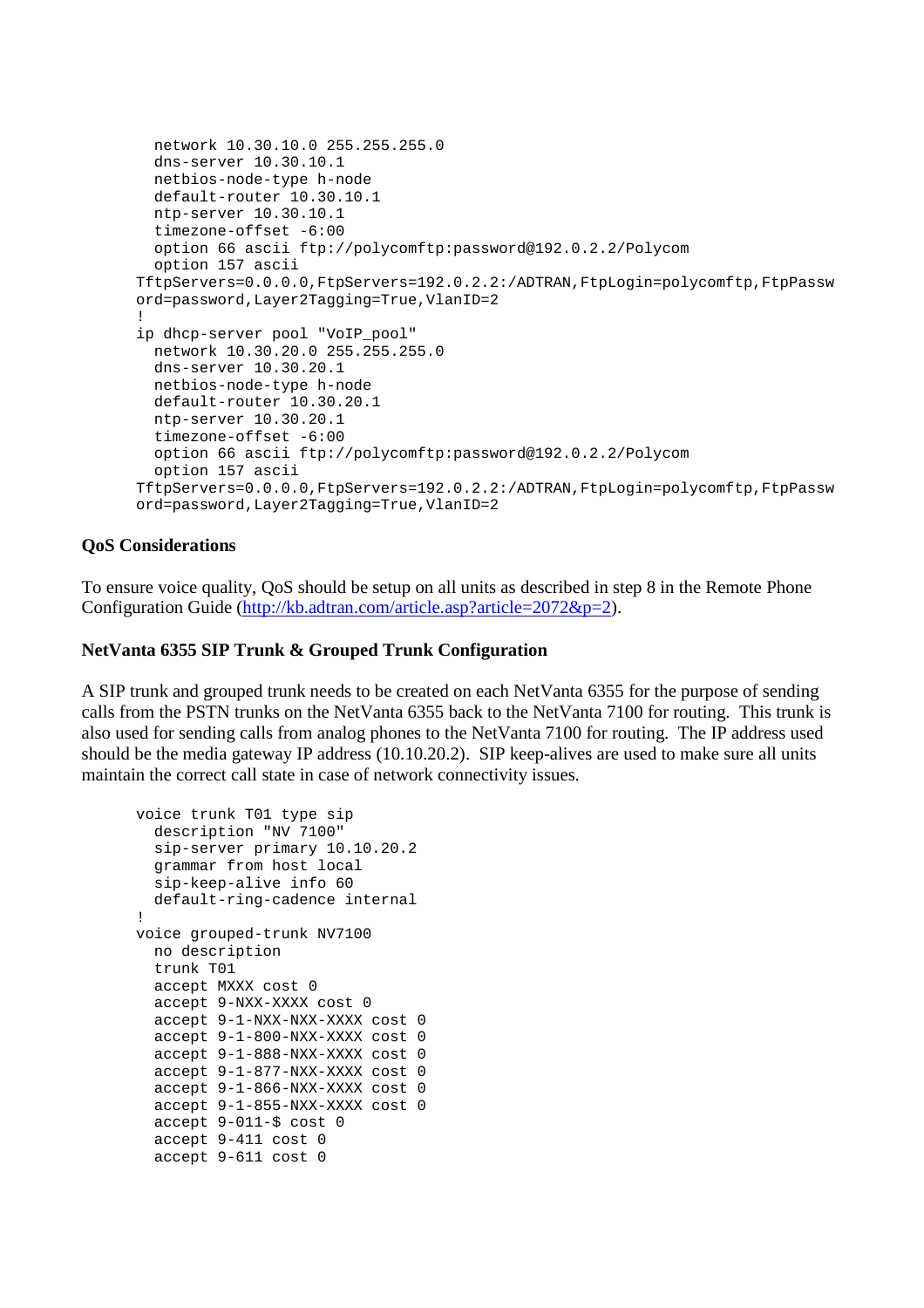```
 network 10.30.10.0 255.255.255.0 
  dns-server 10.30.10.1 
  netbios-node-type h-node 
  default-router 10.30.10.1 
  ntp-server 10.30.10.1 
  timezone-offset -6:00 
   option 66 ascii ftp://polycomftp:password@192.0.2.2/Polycom 
  option 157 ascii 
TftpServers=0.0.0.0,FtpServers=192.0.2.2:/ADTRAN,FtpLogin=polycomftp,FtpPassw
ord=password,Layer2Tagging=True,VlanID=2 
! 
ip dhcp-server pool "VoIP_pool" 
  network 10.30.20.0 255.255.255.0 
  dns-server 10.30.20.1 
  netbios-node-type h-node 
  default-router 10.30.20.1 
  ntp-server 10.30.20.1 
   timezone-offset -6:00 
   option 66 ascii ftp://polycomftp:password@192.0.2.2/Polycom 
   option 157 ascii 
TftpServers=0.0.0.0,FtpServers=192.0.2.2:/ADTRAN,FtpLogin=polycomftp,FtpPassw
ord=password,Layer2Tagging=True,VlanID=2
```
# **QoS Considerations**

To ensure voice quality, QoS should be setup on all units as described in step 8 in the Remote Phone Configuration Guide (http://kb.adtran.com/article.asp?article=2072&p=2).

## **NetVanta 6355 SIP Trunk & Grouped Trunk Configuration**

A SIP trunk and grouped trunk needs to be created on each NetVanta 6355 for the purpose of sending calls from the PSTN trunks on the NetVanta 6355 back to the NetVanta 7100 for routing. This trunk is also used for sending calls from analog phones to the NetVanta 7100 for routing. The IP address used should be the media gateway IP address (10.10.20.2). SIP keep-alives are used to make sure all units maintain the correct call state in case of network connectivity issues.

```
voice trunk T01 type sip 
   description "NV 7100" 
   sip-server primary 10.10.20.2 
  grammar from host local 
   sip-keep-alive info 60 
  default-ring-cadence internal 
! 
voice grouped-trunk NV7100 
  no description 
  trunk T01 
  accept MXXX cost 0 
  accept 9-NXX-XXXX cost 0 
   accept 9-1-NXX-NXX-XXXX cost 0 
   accept 9-1-800-NXX-XXXX cost 0 
   accept 9-1-888-NXX-XXXX cost 0 
   accept 9-1-877-NXX-XXXX cost 0 
   accept 9-1-866-NXX-XXXX cost 0 
   accept 9-1-855-NXX-XXXX cost 0 
   accept 9-011-$ cost 0 
   accept 9-411 cost 0 
   accept 9-611 cost 0
```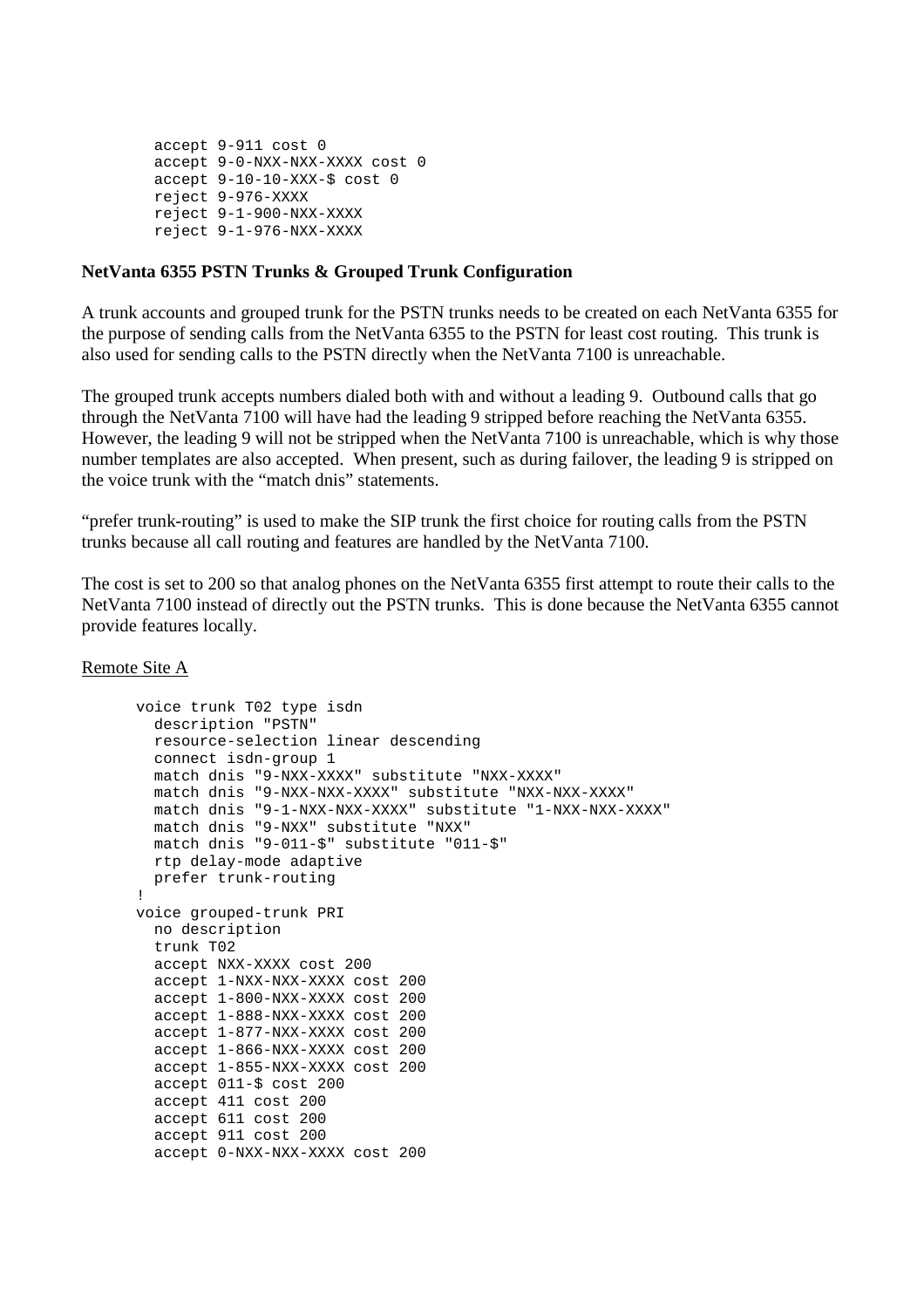```
 accept 9-911 cost 0 
 accept 9-0-NXX-NXX-XXXX cost 0 
 accept 9-10-10-XXX-$ cost 0 
 reject 9-976-XXXX 
 reject 9-1-900-NXX-XXXX 
 reject 9-1-976-NXX-XXXX
```
## **NetVanta 6355 PSTN Trunks & Grouped Trunk Configuration**

A trunk accounts and grouped trunk for the PSTN trunks needs to be created on each NetVanta 6355 for the purpose of sending calls from the NetVanta 6355 to the PSTN for least cost routing. This trunk is also used for sending calls to the PSTN directly when the NetVanta 7100 is unreachable.

The grouped trunk accepts numbers dialed both with and without a leading 9. Outbound calls that go through the NetVanta 7100 will have had the leading 9 stripped before reaching the NetVanta 6355. However, the leading 9 will not be stripped when the NetVanta 7100 is unreachable, which is why those number templates are also accepted. When present, such as during failover, the leading 9 is stripped on the voice trunk with the "match dnis" statements.

"prefer trunk-routing" is used to make the SIP trunk the first choice for routing calls from the PSTN trunks because all call routing and features are handled by the NetVanta 7100.

The cost is set to 200 so that analog phones on the NetVanta 6355 first attempt to route their calls to the NetVanta 7100 instead of directly out the PSTN trunks. This is done because the NetVanta 6355 cannot provide features locally.

Remote Site A

```
voice trunk T02 type isdn 
  description "PSTN" 
  resource-selection linear descending 
   connect isdn-group 1 
   match dnis "9-NXX-XXXX" substitute "NXX-XXXX" 
  match dnis "9-NXX-NXX-XXXX" substitute "NXX-NXX-XXXX" 
  match dnis "9-1-NXX-NXX-XXXX" substitute "1-NXX-NXX-XXXX" 
  match dnis "9-NXX" substitute "NXX" 
  match dnis "9-011-$" substitute "011-$" 
  rtp delay-mode adaptive 
  prefer trunk-routing 
! 
voice grouped-trunk PRI 
  no description 
  trunk T02 
  accept NXX-XXXX cost 200 
  accept 1-NXX-NXX-XXXX cost 200 
  accept 1-800-NXX-XXXX cost 200 
  accept 1-888-NXX-XXXX cost 200 
  accept 1-877-NXX-XXXX cost 200 
  accept 1-866-NXX-XXXX cost 200 
  accept 1-855-NXX-XXXX cost 200 
  accept 011-$ cost 200 
  accept 411 cost 200 
  accept 611 cost 200 
  accept 911 cost 200 
   accept 0-NXX-NXX-XXXX cost 200
```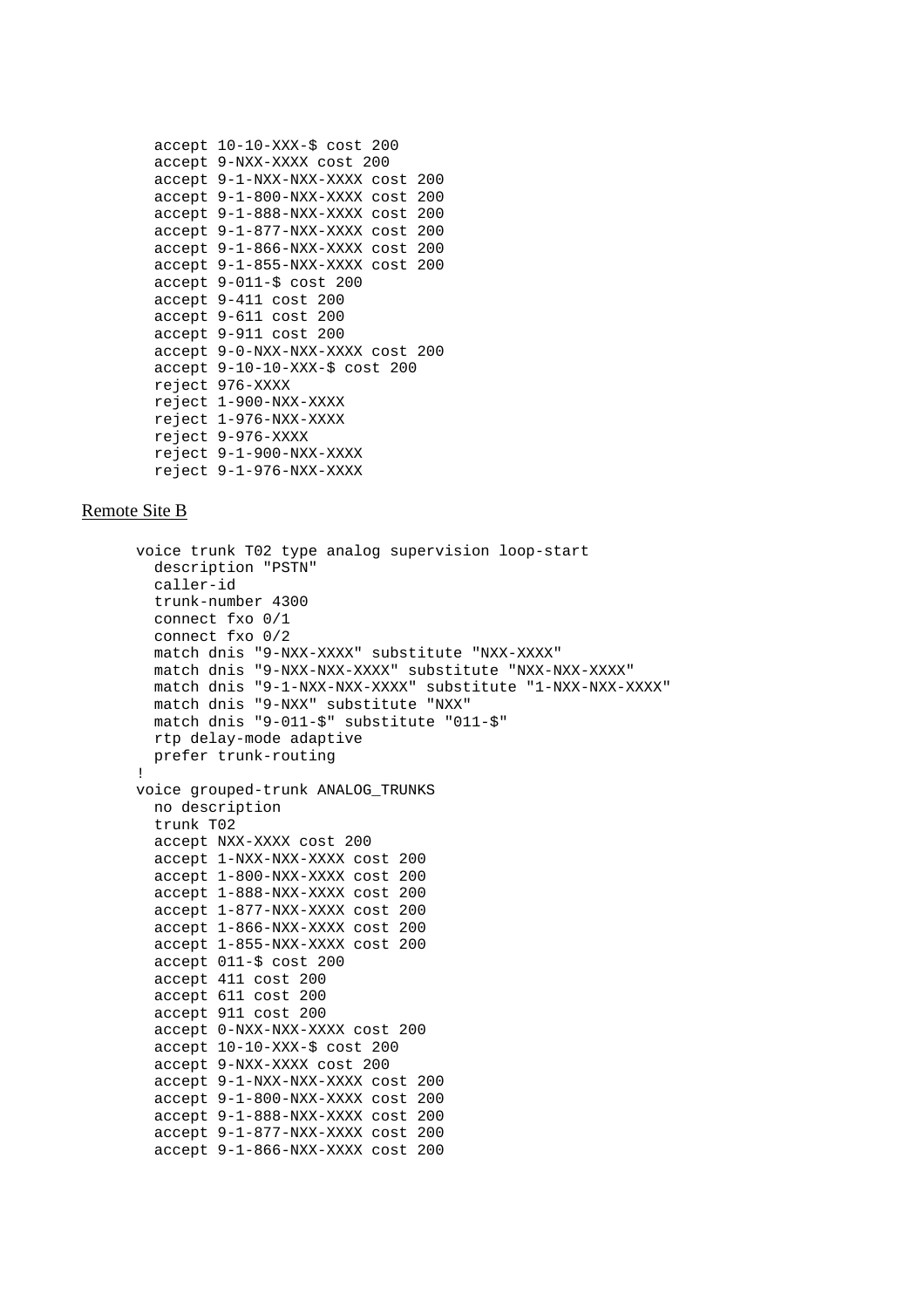```
 accept 10-10-XXX-$ cost 200 
 accept 9-NXX-XXXX cost 200 
 accept 9-1-NXX-NXX-XXXX cost 200 
 accept 9-1-800-NXX-XXXX cost 200 
 accept 9-1-888-NXX-XXXX cost 200 
 accept 9-1-877-NXX-XXXX cost 200 
 accept 9-1-866-NXX-XXXX cost 200 
 accept 9-1-855-NXX-XXXX cost 200 
 accept 9-011-$ cost 200 
 accept 9-411 cost 200 
 accept 9-611 cost 200 
 accept 9-911 cost 200 
 accept 9-0-NXX-NXX-XXXX cost 200 
 accept 9-10-10-XXX-$ cost 200 
 reject 976-XXXX 
 reject 1-900-NXX-XXXX 
 reject 1-976-NXX-XXXX 
 reject 9-976-XXXX 
 reject 9-1-900-NXX-XXXX 
 reject 9-1-976-NXX-XXXX
```
#### Remote Site B

```
voice trunk T02 type analog supervision loop-start 
   description "PSTN" 
   caller-id 
   trunk-number 4300 
   connect fxo 0/1 
   connect fxo 0/2 
  match dnis "9-NXX-XXXX" substitute "NXX-XXXX" 
  match dnis "9-NXX-NXX-XXXX" substitute "NXX-NXX-XXXX" 
  match dnis "9-1-NXX-NXX-XXXX" substitute "1-NXX-NXX-XXXX" 
  match dnis "9-NXX" substitute "NXX" 
  match dnis "9-011-$" substitute "011-$" 
  rtp delay-mode adaptive 
  prefer trunk-routing 
! 
voice grouped-trunk ANALOG_TRUNKS 
  no description 
  trunk T02 
  accept NXX-XXXX cost 200 
  accept 1-NXX-NXX-XXXX cost 200 
  accept 1-800-NXX-XXXX cost 200 
  accept 1-888-NXX-XXXX cost 200 
  accept 1-877-NXX-XXXX cost 200 
  accept 1-866-NXX-XXXX cost 200 
  accept 1-855-NXX-XXXX cost 200 
  accept 011-$ cost 200 
  accept 411 cost 200 
  accept 611 cost 200 
  accept 911 cost 200 
  accept 0-NXX-NXX-XXXX cost 200 
   accept 10-10-XXX-$ cost 200 
   accept 9-NXX-XXXX cost 200 
   accept 9-1-NXX-NXX-XXXX cost 200 
   accept 9-1-800-NXX-XXXX cost 200 
   accept 9-1-888-NXX-XXXX cost 200 
   accept 9-1-877-NXX-XXXX cost 200 
   accept 9-1-866-NXX-XXXX cost 200
```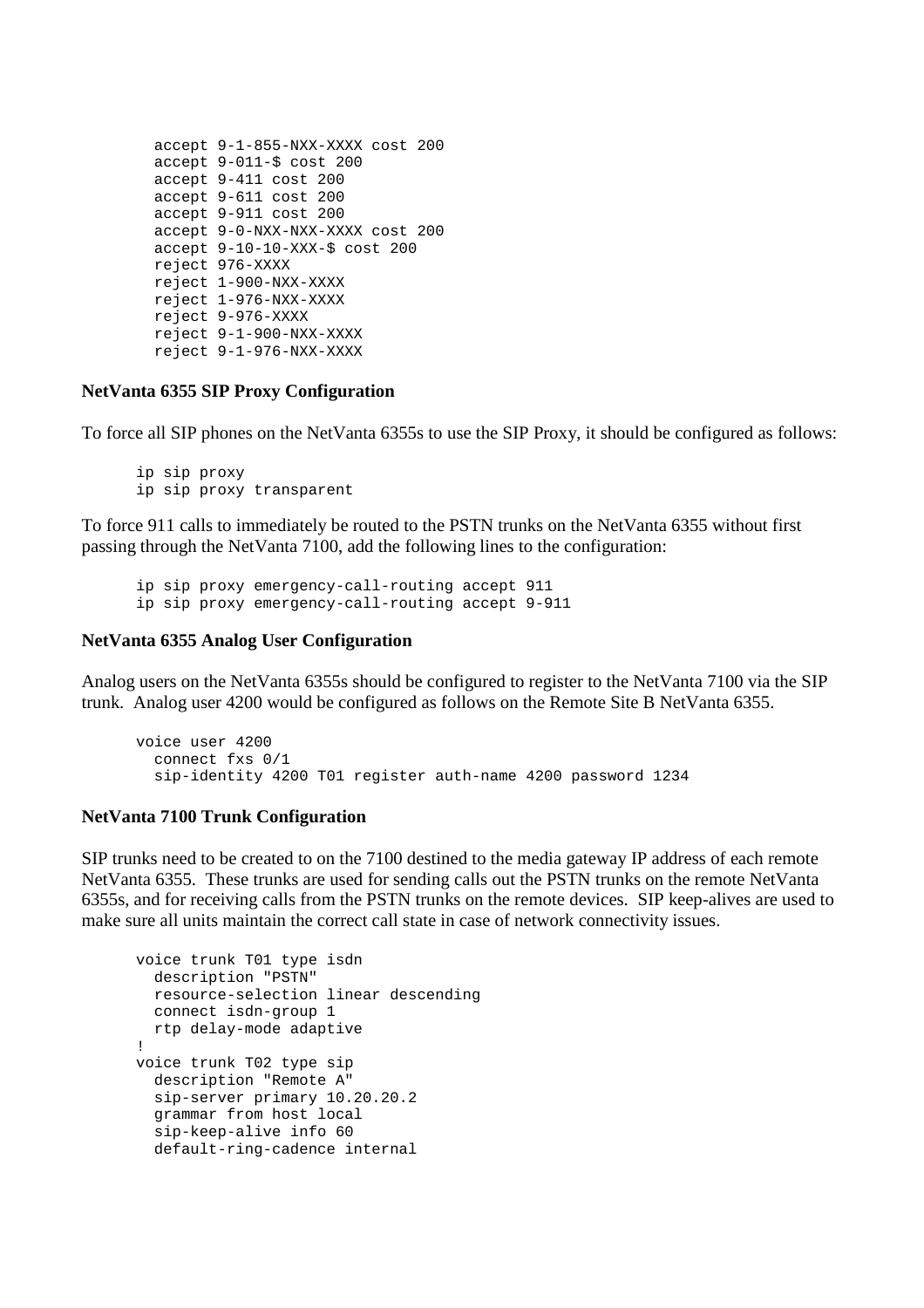```
 accept 9-1-855-NXX-XXXX cost 200 
 accept 9-011-$ cost 200 
 accept 9-411 cost 200 
 accept 9-611 cost 200 
 accept 9-911 cost 200 
 accept 9-0-NXX-NXX-XXXX cost 200 
 accept 9-10-10-XXX-$ cost 200 
 reject 976-XXXX 
 reject 1-900-NXX-XXXX 
 reject 1-976-NXX-XXXX 
 reject 9-976-XXXX 
 reject 9-1-900-NXX-XXXX 
 reject 9-1-976-NXX-XXXX
```
#### **NetVanta 6355 SIP Proxy Configuration**

To force all SIP phones on the NetVanta 6355s to use the SIP Proxy, it should be configured as follows:

ip sip proxy ip sip proxy transparent

To force 911 calls to immediately be routed to the PSTN trunks on the NetVanta 6355 without first passing through the NetVanta 7100, add the following lines to the configuration:

```
ip sip proxy emergency-call-routing accept 911 
ip sip proxy emergency-call-routing accept 9-911
```
## **NetVanta 6355 Analog User Configuration**

Analog users on the NetVanta 6355s should be configured to register to the NetVanta 7100 via the SIP trunk. Analog user 4200 would be configured as follows on the Remote Site B NetVanta 6355.

```
voice user 4200 
   connect fxs 0/1 
   sip-identity 4200 T01 register auth-name 4200 password 1234
```
## **NetVanta 7100 Trunk Configuration**

SIP trunks need to be created to on the 7100 destined to the media gateway IP address of each remote NetVanta 6355. These trunks are used for sending calls out the PSTN trunks on the remote NetVanta 6355s, and for receiving calls from the PSTN trunks on the remote devices. SIP keep-alives are used to make sure all units maintain the correct call state in case of network connectivity issues.

```
voice trunk T01 type isdn 
  description "PSTN" 
  resource-selection linear descending 
  connect isdn-group 1 
  rtp delay-mode adaptive 
! 
voice trunk T02 type sip 
  description "Remote A" 
   sip-server primary 10.20.20.2 
   grammar from host local 
   sip-keep-alive info 60 
  default-ring-cadence internal
```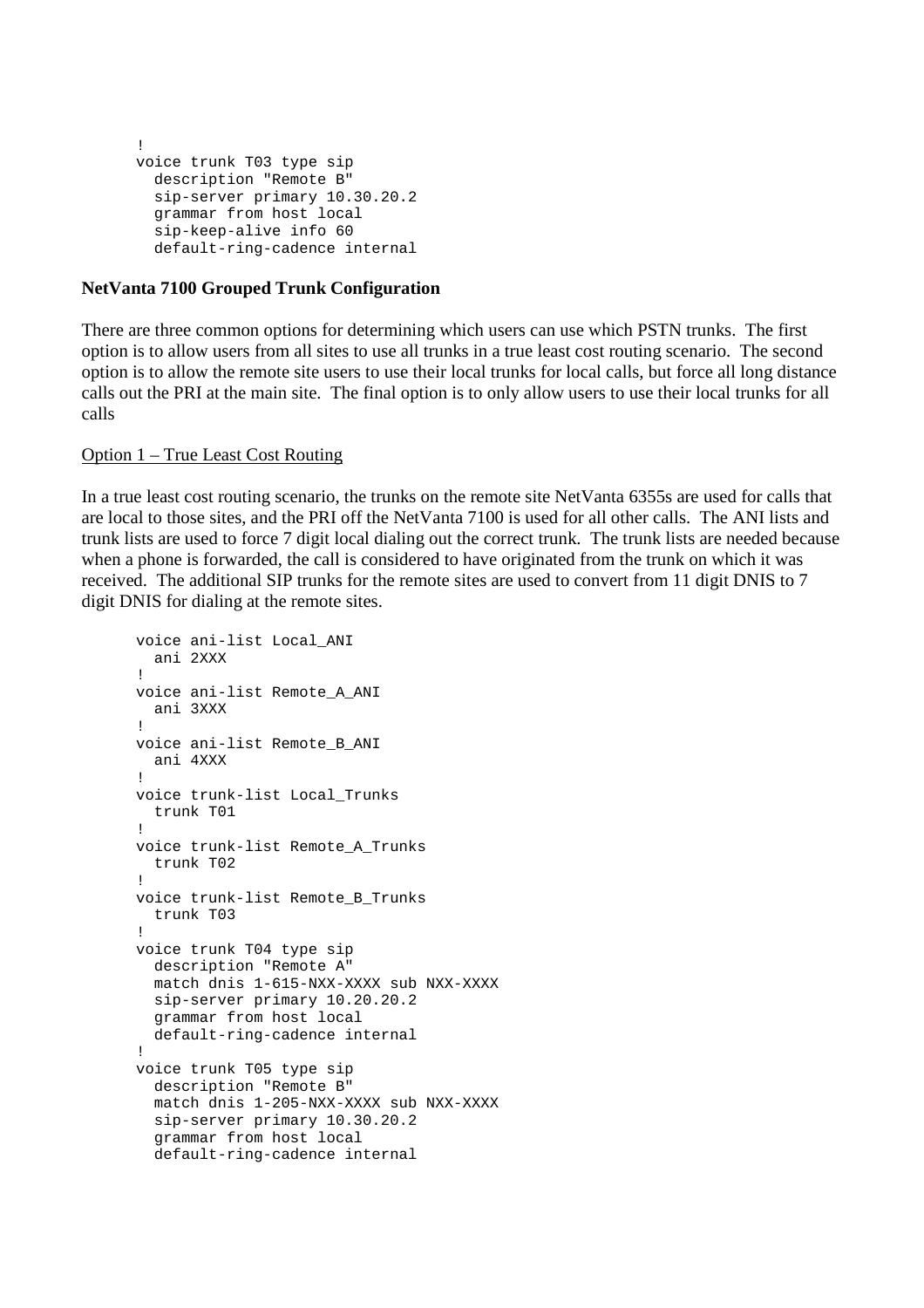```
! 
voice trunk T03 type sip 
  description "Remote B" 
  sip-server primary 10.30.20.2 
  grammar from host local 
   sip-keep-alive info 60 
   default-ring-cadence internal
```
# **NetVanta 7100 Grouped Trunk Configuration**

There are three common options for determining which users can use which PSTN trunks. The first option is to allow users from all sites to use all trunks in a true least cost routing scenario. The second option is to allow the remote site users to use their local trunks for local calls, but force all long distance calls out the PRI at the main site. The final option is to only allow users to use their local trunks for all calls

# Option 1 – True Least Cost Routing

In a true least cost routing scenario, the trunks on the remote site NetVanta 6355s are used for calls that are local to those sites, and the PRI off the NetVanta 7100 is used for all other calls. The ANI lists and trunk lists are used to force 7 digit local dialing out the correct trunk. The trunk lists are needed because when a phone is forwarded, the call is considered to have originated from the trunk on which it was received. The additional SIP trunks for the remote sites are used to convert from 11 digit DNIS to 7 digit DNIS for dialing at the remote sites.

```
voice ani-list Local_ANI 
  ani 2XXX 
! 
voice ani-list Remote_A_ANI 
  ani 3XXX 
! 
voice ani-list Remote_B_ANI 
  ani 4XXX 
! 
voice trunk-list Local_Trunks 
  trunk T01 
! 
voice trunk-list Remote_A_Trunks 
   trunk T02 
! 
voice trunk-list Remote_B_Trunks 
   trunk T03 
! 
voice trunk T04 type sip 
  description "Remote A" 
  match dnis 1-615-NXX-XXXX sub NXX-XXXX 
  sip-server primary 10.20.20.2 
  grammar from host local 
  default-ring-cadence internal 
! 
voice trunk T05 type sip 
  description "Remote B" 
  match dnis 1-205-NXX-XXXX sub NXX-XXXX 
  sip-server primary 10.30.20.2 
  grammar from host local 
  default-ring-cadence internal
```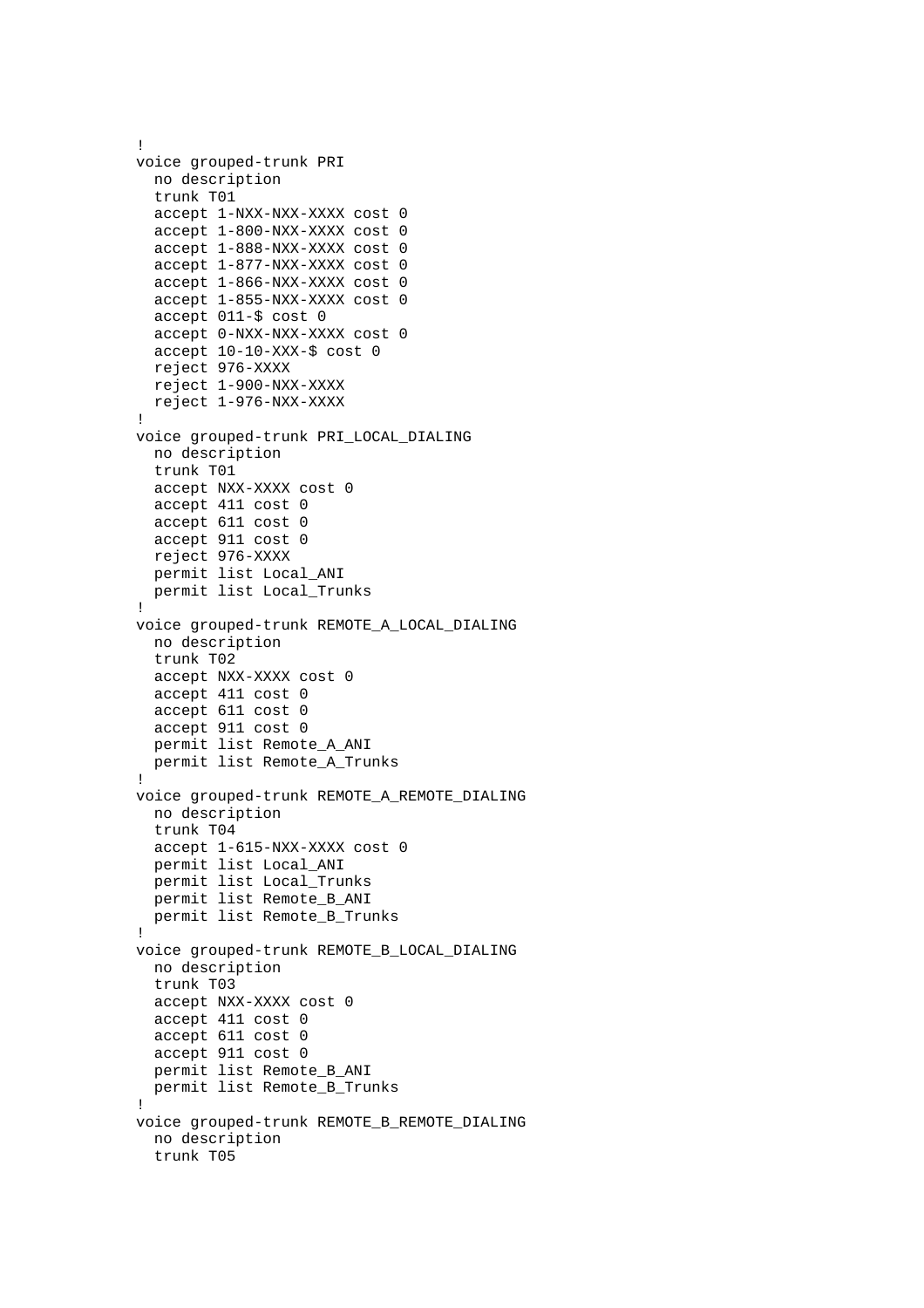```
! 
voice grouped-trunk PRI 
  no description 
  trunk T01 
  accept 1-NXX-NXX-XXXX cost 0 
  accept 1-800-NXX-XXXX cost 0 
  accept 1-888-NXX-XXXX cost 0 
  accept 1-877-NXX-XXXX cost 0 
  accept 1-866-NXX-XXXX cost 0 
  accept 1-855-NXX-XXXX cost 0 
  accept 011-$ cost 0 
  accept 0-NXX-NXX-XXXX cost 0 
  accept 10-10-XXX-$ cost 0 
  reject 976-XXXX 
  reject 1-900-NXX-XXXX 
  reject 1-976-NXX-XXXX 
! 
voice grouped-trunk PRI_LOCAL_DIALING 
  no description 
   trunk T01 
   accept NXX-XXXX cost 0 
   accept 411 cost 0 
   accept 611 cost 0 
   accept 911 cost 0 
  reject 976-XXXX 
   permit list Local_ANI 
  permit list Local_Trunks 
! 
voice grouped-trunk REMOTE_A_LOCAL_DIALING 
  no description 
  trunk T02 
  accept NXX-XXXX cost 0 
  accept 411 cost 0 
  accept 611 cost 0 
  accept 911 cost 0 
  permit list Remote_A_ANI 
  permit list Remote_A_Trunks 
! 
voice grouped-trunk REMOTE_A_REMOTE_DIALING 
  no description 
  trunk T04 
  accept 1-615-NXX-XXXX cost 0 
  permit list Local_ANI 
  permit list Local_Trunks 
  permit list Remote_B_ANI 
  permit list Remote_B_Trunks 
! 
voice grouped-trunk REMOTE_B_LOCAL_DIALING 
  no description 
   trunk T03 
   accept NXX-XXXX cost 0 
  accept 411 cost 0 
  accept 611 cost 0 
  accept 911 cost 0 
  permit list Remote_B_ANI 
  permit list Remote_B_Trunks 
! 
voice grouped-trunk REMOTE_B_REMOTE_DIALING 
  no description 
   trunk T05
```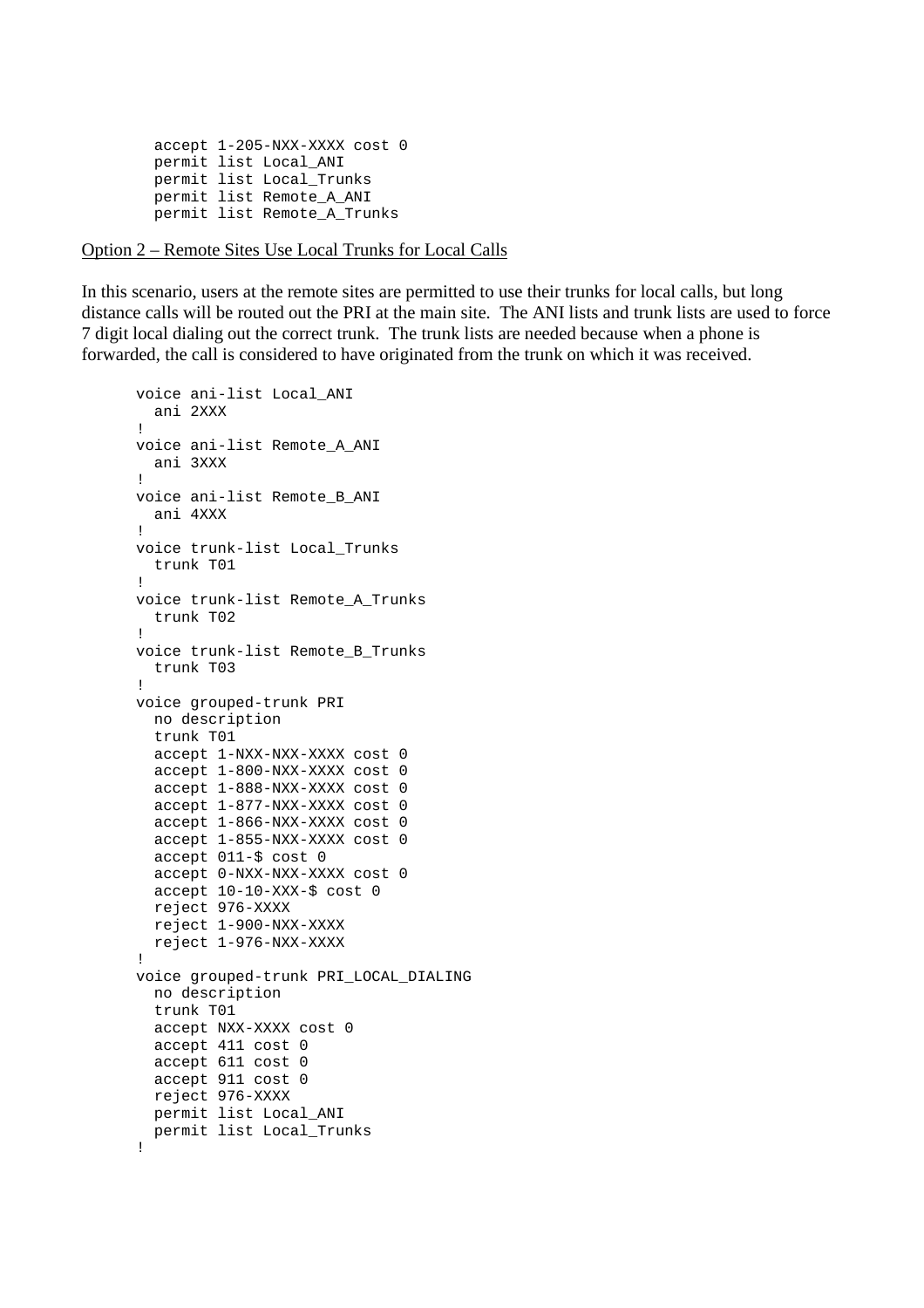```
 accept 1-205-NXX-XXXX cost 0 
 permit list Local_ANI 
 permit list Local_Trunks 
 permit list Remote_A_ANI 
 permit list Remote_A_Trunks
```
#### Option 2 – Remote Sites Use Local Trunks for Local Calls

In this scenario, users at the remote sites are permitted to use their trunks for local calls, but long distance calls will be routed out the PRI at the main site. The ANI lists and trunk lists are used to force 7 digit local dialing out the correct trunk. The trunk lists are needed because when a phone is forwarded, the call is considered to have originated from the trunk on which it was received.

```
voice ani-list Local_ANI 
   ani 2XXX 
! 
voice ani-list Remote_A_ANI 
   ani 3XXX 
! 
voice ani-list Remote_B_ANI 
   ani 4XXX 
! 
voice trunk-list Local_Trunks 
   trunk T01 
! 
voice trunk-list Remote_A_Trunks 
   trunk T02 
! 
voice trunk-list Remote_B_Trunks 
   trunk T03 
! 
voice grouped-trunk PRI 
   no description 
   trunk T01 
   accept 1-NXX-NXX-XXXX cost 0 
   accept 1-800-NXX-XXXX cost 0 
   accept 1-888-NXX-XXXX cost 0 
   accept 1-877-NXX-XXXX cost 0 
   accept 1-866-NXX-XXXX cost 0 
   accept 1-855-NXX-XXXX cost 0 
   accept 011-$ cost 0 
   accept 0-NXX-NXX-XXXX cost 0 
   accept 10-10-XXX-$ cost 0 
   reject 976-XXXX 
   reject 1-900-NXX-XXXX 
   reject 1-976-NXX-XXXX 
! 
voice grouped-trunk PRI_LOCAL_DIALING 
   no description 
   trunk T01 
   accept NXX-XXXX cost 0 
   accept 411 cost 0 
   accept 611 cost 0 
   accept 911 cost 0 
   reject 976-XXXX 
   permit list Local_ANI 
   permit list Local_Trunks 
!
```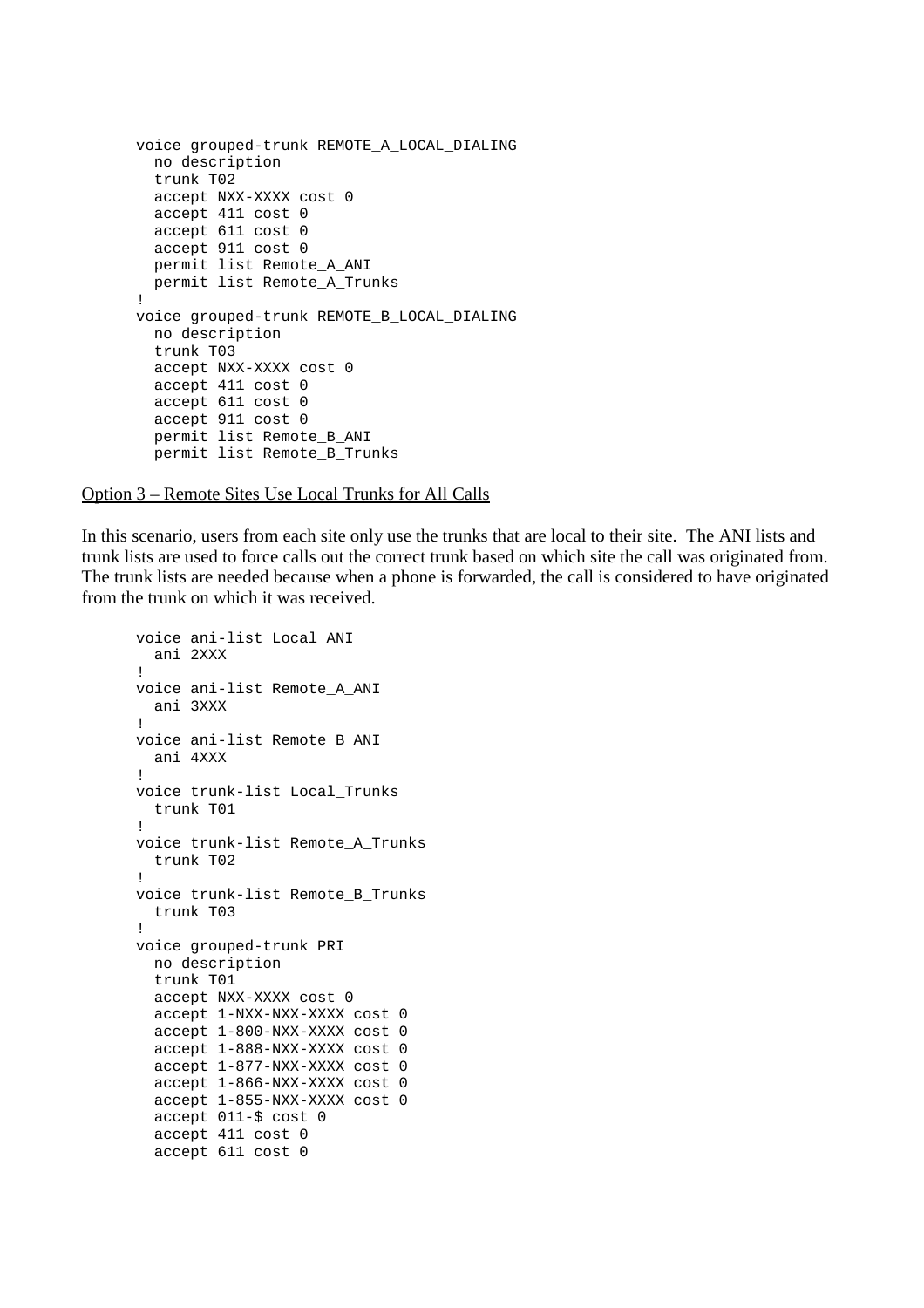```
voice grouped-trunk REMOTE_A_LOCAL_DIALING 
   no description 
   trunk T02 
   accept NXX-XXXX cost 0 
   accept 411 cost 0 
   accept 611 cost 0 
   accept 911 cost 0 
  permit list Remote_A_ANI 
  permit list Remote_A_Trunks 
! 
voice grouped-trunk REMOTE_B_LOCAL_DIALING 
  no description 
   trunk T03 
   accept NXX-XXXX cost 0 
   accept 411 cost 0 
   accept 611 cost 0 
   accept 911 cost 0 
   permit list Remote_B_ANI 
   permit list Remote_B_Trunks
```
Option 3 – Remote Sites Use Local Trunks for All Calls

In this scenario, users from each site only use the trunks that are local to their site. The ANI lists and trunk lists are used to force calls out the correct trunk based on which site the call was originated from. The trunk lists are needed because when a phone is forwarded, the call is considered to have originated from the trunk on which it was received.

```
voice ani-list Local_ANI 
   ani 2XXX 
! 
voice ani-list Remote_A_ANI 
   ani 3XXX 
! 
voice ani-list Remote_B_ANI 
   ani 4XXX 
! 
voice trunk-list Local_Trunks 
   trunk T01 
! 
voice trunk-list Remote_A_Trunks 
   trunk T02 
! 
voice trunk-list Remote_B_Trunks 
   trunk T03 
! 
voice grouped-trunk PRI 
   no description 
   trunk T01 
   accept NXX-XXXX cost 0 
   accept 1-NXX-NXX-XXXX cost 0 
   accept 1-800-NXX-XXXX cost 0 
   accept 1-888-NXX-XXXX cost 0 
   accept 1-877-NXX-XXXX cost 0 
   accept 1-866-NXX-XXXX cost 0 
   accept 1-855-NXX-XXXX cost 0 
   accept 011-$ cost 0 
   accept 411 cost 0 
   accept 611 cost 0
```